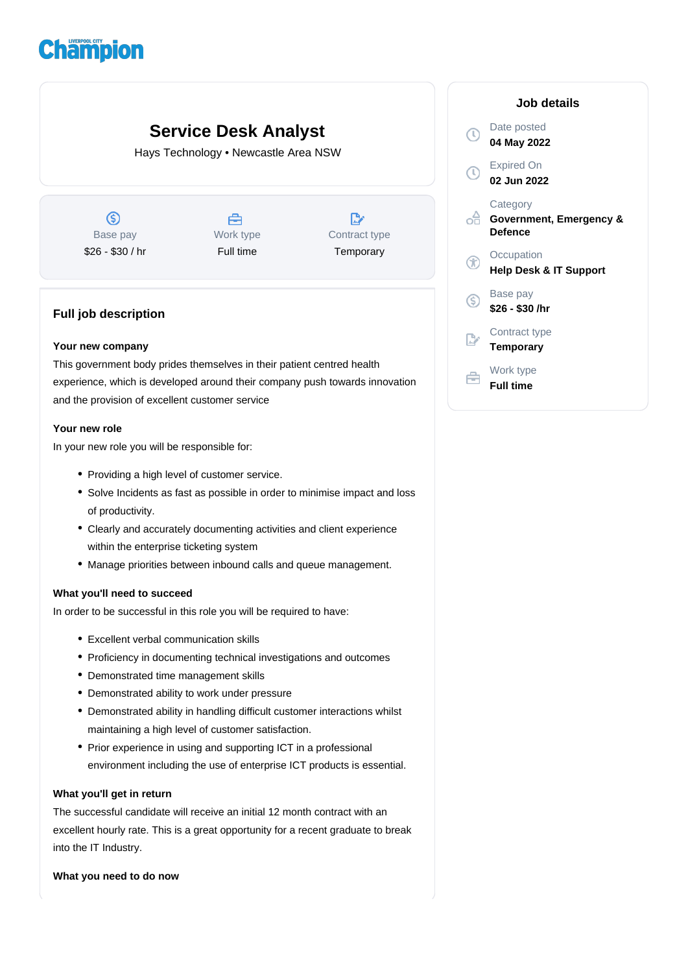# **Champion**

## **Service Desk Analyst**

Hays Technology • Newcastle Area NSW

 $\circledS$ Base pay \$26 - \$30 / hr



 $\mathbb{D}$ Contract type **Temporary** 

### **Full job description**

#### **Your new company**

This government body prides themselves in their patient centred health experience, which is developed around their company push towards innovation and the provision of excellent customer service

#### **Your new role**

In your new role you will be responsible for:

- Providing a high level of customer service.
- Solve Incidents as fast as possible in order to minimise impact and loss of productivity.
- Clearly and accurately documenting activities and client experience within the enterprise ticketing system
- Manage priorities between inbound calls and queue management.

#### **What you'll need to succeed**

In order to be successful in this role you will be required to have:

- Excellent verbal communication skills
- Proficiency in documenting technical investigations and outcomes
- Demonstrated time management skills
- Demonstrated ability to work under pressure
- Demonstrated ability in handling difficult customer interactions whilst maintaining a high level of customer satisfaction.
- Prior experience in using and supporting ICT in a professional environment including the use of enterprise ICT products is essential.

#### **What you'll get in return**

The successful candidate will receive an initial 12 month contract with an excellent hourly rate. This is a great opportunity for a recent graduate to break into the IT Industry.

**What you need to do now**

|    | Job details                                    |
|----|------------------------------------------------|
|    | Date posted<br>04 May 2022                     |
|    | <b>Expired On</b><br>02 Jun 2022               |
|    | Category<br>Government, Emergency &<br>Defence |
|    | Occupation<br>Help Desk & IT Support           |
| (S | Base pay<br>\$26 - \$30 /hr                    |
|    | Contract type<br>Temporary                     |
|    | Work type<br><b>Full time</b>                  |